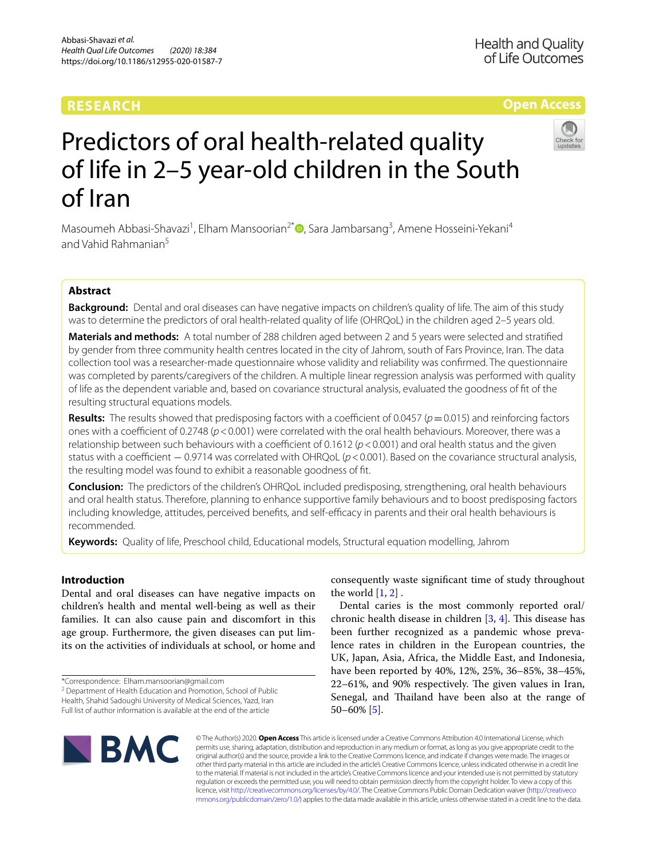# **RESEARCH**

# **Open Access**



# Predictors of oral health-related quality of life in 2–5 year‑old children in the South of Iran

Masoumeh Abbasi-Shavazi<sup>1</sup>[,](http://orcid.org/0000-0002-1371-2790) Elham Mansoorian<sup>2\*</sup> (D, Sara Jambarsang<sup>3</sup>, Amene Hosseini-Yekani<sup>4</sup> and Vahid Rahmanian<sup>5</sup>

# **Abstract**

**Background:** Dental and oral diseases can have negative impacts on children's quality of life. The aim of this study was to determine the predictors of oral health-related quality of life (OHRQoL) in the children aged 2–5 years old.

**Materials and methods:** A total number of 288 children aged between 2 and 5 years were selected and stratifed by gender from three community health centres located in the city of Jahrom, south of Fars Province, Iran. The data collection tool was a researcher-made questionnaire whose validity and reliability was confrmed. The questionnaire was completed by parents/caregivers of the children. A multiple linear regression analysis was performed with quality of life as the dependent variable and, based on covariance structural analysis, evaluated the goodness of ft of the resulting structural equations models.

**Results:** The results showed that predisposing factors with a coefficient of 0.0457 ( $p=0.015$ ) and reinforcing factors ones with a coefficient of 0.2748 ( $p$  < 0.001) were correlated with the oral health behaviours. Moreover, there was a relationship between such behaviours with a coefficient of 0.1612 ( $p$  < 0.001) and oral health status and the given status with a coefficient − 0.9714 was correlated with OHRQoL ( $p$  < 0.001). Based on the covariance structural analysis, the resulting model was found to exhibit a reasonable goodness of ft.

**Conclusion:** The predictors of the children's OHRQoL included predisposing, strengthening, oral health behaviours and oral health status. Therefore, planning to enhance supportive family behaviours and to boost predisposing factors including knowledge, attitudes, perceived benefits, and self-efficacy in parents and their oral health behaviours is recommended.

**Keywords:** Quality of life, Preschool child, Educational models, Structural equation modelling, Jahrom

# **Introduction**

Dental and oral diseases can have negative impacts on children's health and mental well-being as well as their families. It can also cause pain and discomfort in this age group. Furthermore, the given diseases can put limits on the activities of individuals at school, or home and

<sup>2</sup> Department of Health Education and Promotion, School of Public Health, Shahid Sadoughi University of Medical Sciences, Yazd, Iran Full list of author information is available at the end of the article

consequently waste signifcant time of study throughout the world  $[1, 2]$  $[1, 2]$  $[1, 2]$ .

Dental caries is the most commonly reported oral/ chronic health disease in children  $[3, 4]$  $[3, 4]$  $[3, 4]$  $[3, 4]$  $[3, 4]$ . This disease has been further recognized as a pandemic whose prevalence rates in children in the European countries, the UK, Japan, Asia, Africa, the Middle East, and Indonesia, have been reported by 40%, 12%, 25%, 36–85%, 38–45%,  $22-61\%$ , and 90% respectively. The given values in Iran, Senegal, and Thailand have been also at the range of 50–60% [[5\]](#page-8-4).



© The Author(s) 2020. **Open Access** This article is licensed under a Creative Commons Attribution 4.0 International License, which permits use, sharing, adaptation, distribution and reproduction in any medium or format, as long as you give appropriate credit to the original author(s) and the source, provide a link to the Creative Commons licence, and indicate if changes were made. The images or other third party material in this article are included in the article's Creative Commons licence, unless indicated otherwise in a credit line to the material. If material is not included in the article's Creative Commons licence and your intended use is not permitted by statutory regulation or exceeds the permitted use, you will need to obtain permission directly from the copyright holder. To view a copy of this licence, visit [http://creativecommons.org/licenses/by/4.0/.](http://creativecommons.org/licenses/by/4.0/) The Creative Commons Public Domain Dedication waiver ([http://creativeco](http://creativecommons.org/publicdomain/zero/1.0/) [mmons.org/publicdomain/zero/1.0/](http://creativecommons.org/publicdomain/zero/1.0/)) applies to the data made available in this article, unless otherwise stated in a credit line to the data.

<sup>\*</sup>Correspondence: Elham.mansoorian@gmail.com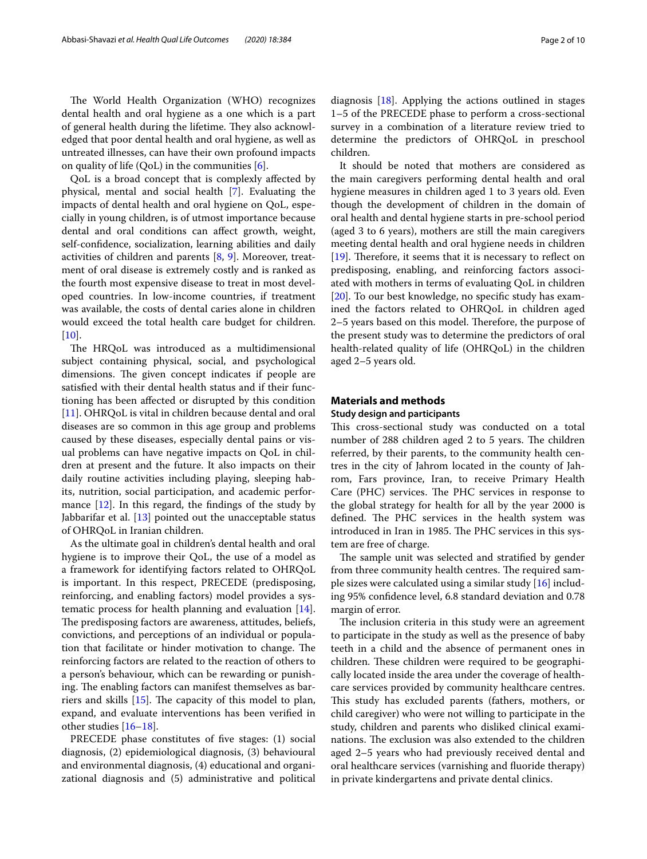The World Health Organization (WHO) recognizes dental health and oral hygiene as a one which is a part of general health during the lifetime. They also acknowledged that poor dental health and oral hygiene, as well as untreated illnesses, can have their own profound impacts on quality of life (QoL) in the communities  $[6]$  $[6]$ .

QoL is a broad concept that is complexly afected by physical, mental and social health [[7\]](#page-8-6). Evaluating the impacts of dental health and oral hygiene on QoL, especially in young children, is of utmost importance because dental and oral conditions can afect growth, weight, self-confdence, socialization, learning abilities and daily activities of children and parents  $[8, 9]$  $[8, 9]$  $[8, 9]$ . Moreover, treatment of oral disease is extremely costly and is ranked as the fourth most expensive disease to treat in most developed countries. In low-income countries, if treatment was available, the costs of dental caries alone in children would exceed the total health care budget for children.  $[10]$  $[10]$ .

The HRQoL was introduced as a multidimensional subject containing physical, social, and psychological dimensions. The given concept indicates if people are satisfed with their dental health status and if their functioning has been afected or disrupted by this condition [[11\]](#page-8-10). OHRQoL is vital in children because dental and oral diseases are so common in this age group and problems caused by these diseases, especially dental pains or visual problems can have negative impacts on QoL in children at present and the future. It also impacts on their daily routine activities including playing, sleeping habits, nutrition, social participation, and academic performance  $[12]$  $[12]$  $[12]$ . In this regard, the findings of the study by Jabbarifar et al. [\[13\]](#page-8-12) pointed out the unacceptable status of OHRQoL in Iranian children.

As the ultimate goal in children's dental health and oral hygiene is to improve their QoL, the use of a model as a framework for identifying factors related to OHRQoL is important. In this respect, PRECEDE (predisposing, reinforcing, and enabling factors) model provides a systematic process for health planning and evaluation [\[14](#page-8-13)]. The predisposing factors are awareness, attitudes, beliefs, convictions, and perceptions of an individual or population that facilitate or hinder motivation to change. The reinforcing factors are related to the reaction of others to a person's behaviour, which can be rewarding or punishing. The enabling factors can manifest themselves as barriers and skills  $[15]$  $[15]$ . The capacity of this model to plan, expand, and evaluate interventions has been verifed in other studies [[16–](#page-8-15)[18\]](#page-8-16).

PRECEDE phase constitutes of five stages: (1) social diagnosis, (2) epidemiological diagnosis, (3) behavioural and environmental diagnosis, (4) educational and organizational diagnosis and (5) administrative and political

diagnosis [[18](#page-8-16)]. Applying the actions outlined in stages 1–5 of the PRECEDE phase to perform a cross-sectional survey in a combination of a literature review tried to determine the predictors of OHRQoL in preschool children.

It should be noted that mothers are considered as the main caregivers performing dental health and oral hygiene measures in children aged 1 to 3 years old. Even though the development of children in the domain of oral health and dental hygiene starts in pre-school period (aged 3 to 6 years), mothers are still the main caregivers meeting dental health and oral hygiene needs in children [[19\]](#page-8-17). Therefore, it seems that it is necessary to reflect on predisposing, enabling, and reinforcing factors associated with mothers in terms of evaluating QoL in children [[20\]](#page-8-18). To our best knowledge, no specifc study has examined the factors related to OHRQoL in children aged 2–5 years based on this model. Therefore, the purpose of the present study was to determine the predictors of oral health-related quality of life (OHRQoL) in the children aged 2–5 years old.

# **Materials and methods**

## **Study design and participants**

This cross-sectional study was conducted on a total number of 288 children aged 2 to 5 years. The children referred, by their parents, to the community health centres in the city of Jahrom located in the county of Jahrom, Fars province, Iran, to receive Primary Health Care (PHC) services. The PHC services in response to the global strategy for health for all by the year 2000 is defined. The PHC services in the health system was introduced in Iran in 1985. The PHC services in this system are free of charge.

The sample unit was selected and stratified by gender from three community health centres. The required sample sizes were calculated using a similar study [\[16](#page-8-15)] including 95% confdence level, 6.8 standard deviation and 0.78 margin of error.

The inclusion criteria in this study were an agreement to participate in the study as well as the presence of baby teeth in a child and the absence of permanent ones in children. These children were required to be geographically located inside the area under the coverage of healthcare services provided by community healthcare centres. This study has excluded parents (fathers, mothers, or child caregiver) who were not willing to participate in the study, children and parents who disliked clinical examinations. The exclusion was also extended to the children aged 2–5 years who had previously received dental and oral healthcare services (varnishing and fuoride therapy) in private kindergartens and private dental clinics.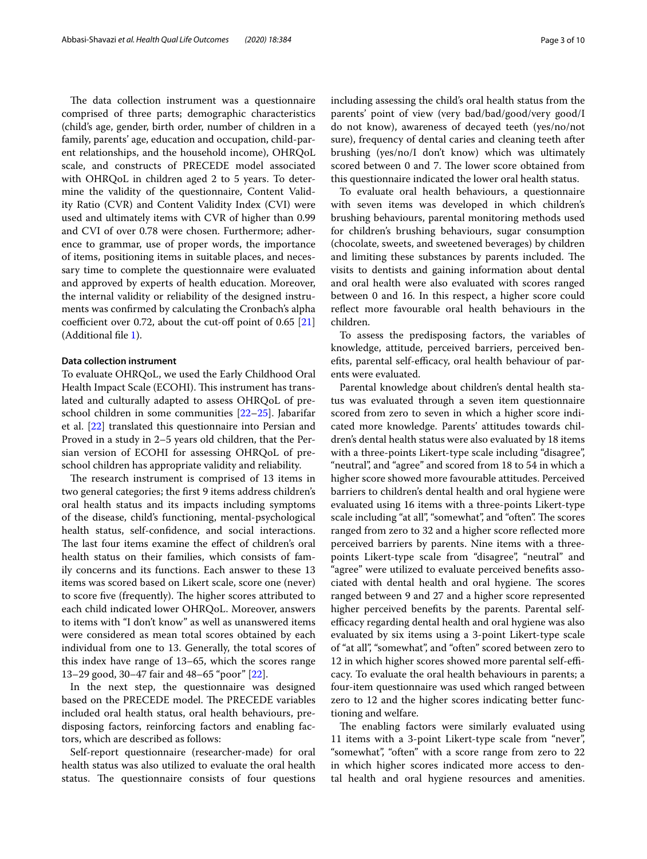The data collection instrument was a questionnaire comprised of three parts; demographic characteristics (child's age, gender, birth order, number of children in a family, parents' age, education and occupation, child-parent relationships, and the household income), OHRQoL scale, and constructs of PRECEDE model associated with OHRQoL in children aged 2 to 5 years. To determine the validity of the questionnaire, Content Validity Ratio (CVR) and Content Validity Index (CVI) were used and ultimately items with CVR of higher than 0.99 and CVI of over 0.78 were chosen. Furthermore; adherence to grammar, use of proper words, the importance of items, positioning items in suitable places, and necessary time to complete the questionnaire were evaluated and approved by experts of health education. Moreover, the internal validity or reliability of the designed instruments was confrmed by calculating the Cronbach's alpha coefficient over 0.72, about the cut-off point of  $0.65$  [[21](#page-9-0)] (Additional fle [1](#page-8-19)).

# **Data collection instrument**

To evaluate OHRQoL, we used the Early Childhood Oral Health Impact Scale (ECOHI). This instrument has translated and culturally adapted to assess OHRQoL of preschool children in some communities [\[22](#page-9-1)[–25\]](#page-9-2). Jabarifar et al. [[22\]](#page-9-1) translated this questionnaire into Persian and Proved in a study in 2–5 years old children, that the Persian version of ECOHI for assessing OHRQoL of preschool children has appropriate validity and reliability.

The research instrument is comprised of 13 items in two general categories; the frst 9 items address children's oral health status and its impacts including symptoms of the disease, child's functioning, mental-psychological health status, self-confdence, and social interactions. The last four items examine the effect of children's oral health status on their families, which consists of family concerns and its functions. Each answer to these 13 items was scored based on Likert scale, score one (never) to score five (frequently). The higher scores attributed to each child indicated lower OHRQoL. Moreover, answers to items with "I don't know" as well as unanswered items were considered as mean total scores obtained by each individual from one to 13. Generally, the total scores of this index have range of 13–65, which the scores range 13–29 good, 30–47 fair and 48–65 "poor" [[22](#page-9-1)].

In the next step, the questionnaire was designed based on the PRECEDE model. The PRECEDE variables included oral health status, oral health behaviours, predisposing factors, reinforcing factors and enabling factors, which are described as follows:

Self-report questionnaire (researcher-made) for oral health status was also utilized to evaluate the oral health status. The questionnaire consists of four questions including assessing the child's oral health status from the parents' point of view (very bad/bad/good/very good/I do not know), awareness of decayed teeth (yes/no/not sure), frequency of dental caries and cleaning teeth after brushing (yes/no/I don't know) which was ultimately scored between 0 and 7. The lower score obtained from this questionnaire indicated the lower oral health status.

To evaluate oral health behaviours, a questionnaire with seven items was developed in which children's brushing behaviours, parental monitoring methods used for children's brushing behaviours, sugar consumption (chocolate, sweets, and sweetened beverages) by children and limiting these substances by parents included. The visits to dentists and gaining information about dental and oral health were also evaluated with scores ranged between 0 and 16. In this respect, a higher score could refect more favourable oral health behaviours in the children.

To assess the predisposing factors, the variables of knowledge, attitude, perceived barriers, perceived benefits, parental self-efficacy, oral health behaviour of parents were evaluated.

Parental knowledge about children's dental health status was evaluated through a seven item questionnaire scored from zero to seven in which a higher score indicated more knowledge. Parents' attitudes towards children's dental health status were also evaluated by 18 items with a three-points Likert-type scale including "disagree", "neutral", and "agree" and scored from 18 to 54 in which a higher score showed more favourable attitudes. Perceived barriers to children's dental health and oral hygiene were evaluated using 16 items with a three-points Likert-type scale including "at all", "somewhat", and "often". The scores ranged from zero to 32 and a higher score refected more perceived barriers by parents. Nine items with a threepoints Likert-type scale from "disagree", "neutral" and "agree" were utilized to evaluate perceived benefts associated with dental health and oral hygiene. The scores ranged between 9 and 27 and a higher score represented higher perceived benefts by the parents. Parental selfefficacy regarding dental health and oral hygiene was also evaluated by six items using a 3-point Likert-type scale of "at all", "somewhat", and "often" scored between zero to 12 in which higher scores showed more parental self-efficacy. To evaluate the oral health behaviours in parents; a four-item questionnaire was used which ranged between zero to 12 and the higher scores indicating better functioning and welfare.

The enabling factors were similarly evaluated using 11 items with a 3-point Likert-type scale from "never", "somewhat", "often" with a score range from zero to 22 in which higher scores indicated more access to dental health and oral hygiene resources and amenities.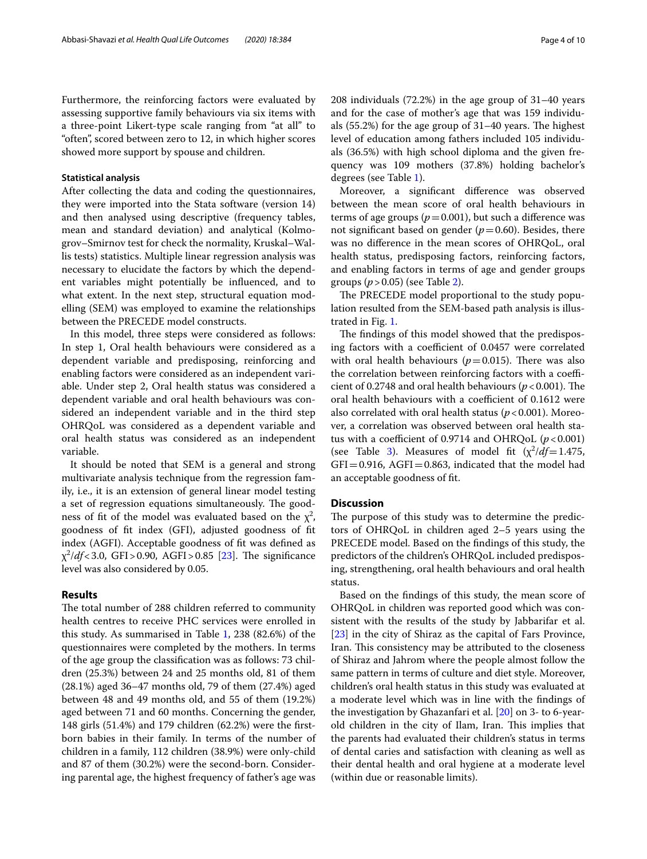showed more support by spouse and children.

Furthermore, the reinforcing factors were evaluated by assessing supportive family behaviours via six items with a three-point Likert-type scale ranging from "at all" to "often", scored between zero to 12, in which higher scores

## **Statistical analysis**

After collecting the data and coding the questionnaires, they were imported into the Stata software (version 14) and then analysed using descriptive (frequency tables, mean and standard deviation) and analytical (Kolmogrov–Smirnov test for check the normality, Kruskal–Wallis tests) statistics. Multiple linear regression analysis was necessary to elucidate the factors by which the dependent variables might potentially be infuenced, and to what extent. In the next step, structural equation modelling (SEM) was employed to examine the relationships between the PRECEDE model constructs.

In this model, three steps were considered as follows: In step 1, Oral health behaviours were considered as a dependent variable and predisposing, reinforcing and enabling factors were considered as an independent variable. Under step 2, Oral health status was considered a dependent variable and oral health behaviours was considered an independent variable and in the third step OHRQoL was considered as a dependent variable and oral health status was considered as an independent variable.

It should be noted that SEM is a general and strong multivariate analysis technique from the regression family, i.e., it is an extension of general linear model testing a set of regression equations simultaneously. The goodness of fit of the model was evaluated based on the  $\chi^2$ , goodness of ft index (GFI), adjusted goodness of ft index (AGFI). Acceptable goodness of ft was defned as  $\chi^2$ /*df* < 3.0, GFI > 0.90, AGFI > 0.85 [[23\]](#page-9-3). The significance level was also considered by 0.05.

## **Results**

The total number of 288 children referred to community health centres to receive PHC services were enrolled in this study. As summarised in Table [1](#page-4-0), 238 (82.6%) of the questionnaires were completed by the mothers. In terms of the age group the classifcation was as follows: 73 children (25.3%) between 24 and 25 months old, 81 of them (28.1%) aged 36–47 months old, 79 of them (27.4%) aged between 48 and 49 months old, and 55 of them (19.2%) aged between 71 and 60 months. Concerning the gender, 148 girls (51.4%) and 179 children (62.2%) were the frstborn babies in their family. In terms of the number of children in a family, 112 children (38.9%) were only-child and 87 of them (30.2%) were the second-born. Considering parental age, the highest frequency of father's age was 208 individuals (72.2%) in the age group of 31–40 years and for the case of mother's age that was 159 individuals  $(55.2%)$  for the age group of  $31-40$  years. The highest level of education among fathers included 105 individuals (36.5%) with high school diploma and the given frequency was 109 mothers (37.8%) holding bachelor's degrees (see Table [1](#page-4-0)).

Moreover, a signifcant diference was observed between the mean score of oral health behaviours in terms of age groups  $(p=0.001)$ , but such a difference was not significant based on gender ( $p=0.60$ ). Besides, there was no diference in the mean scores of OHRQoL, oral health status, predisposing factors, reinforcing factors, and enabling factors in terms of age and gender groups groups (*p*>0.05) (see Table [2\)](#page-5-0).

The PRECEDE model proportional to the study population resulted from the SEM-based path analysis is illustrated in Fig. [1.](#page-6-0)

The findings of this model showed that the predisposing factors with a coefficient of 0.0457 were correlated with oral health behaviours ( $p=0.015$ ). There was also the correlation between reinforcing factors with a coefficient of 0.2748 and oral health behaviours ( $p < 0.001$ ). The oral health behaviours with a coefficient of 0.1612 were also correlated with oral health status  $(p < 0.001)$ . Moreover, a correlation was observed between oral health status with a coefficient of 0.9714 and OHRQoL  $(p<0.001)$ (see Table [3](#page-6-1)). Measures of model fit  $(\chi^2/df=1.475,$  $GFI = 0.916$ ,  $AGFI = 0.863$ , indicated that the model had an acceptable goodness of ft.

## **Discussion**

The purpose of this study was to determine the predictors of OHRQoL in children aged 2–5 years using the PRECEDE model. Based on the fndings of this study, the predictors of the children's OHRQoL included predisposing, strengthening, oral health behaviours and oral health status.

Based on the fndings of this study, the mean score of OHRQoL in children was reported good which was consistent with the results of the study by Jabbarifar et al. [[23\]](#page-9-3) in the city of Shiraz as the capital of Fars Province, Iran. This consistency may be attributed to the closeness of Shiraz and Jahrom where the people almost follow the same pattern in terms of culture and diet style. Moreover, children's oral health status in this study was evaluated at a moderate level which was in line with the fndings of the investigation by Ghazanfari et al. [[20](#page-8-18)] on 3- to 6-yearold children in the city of Ilam, Iran. This implies that the parents had evaluated their children's status in terms of dental caries and satisfaction with cleaning as well as their dental health and oral hygiene at a moderate level (within due or reasonable limits).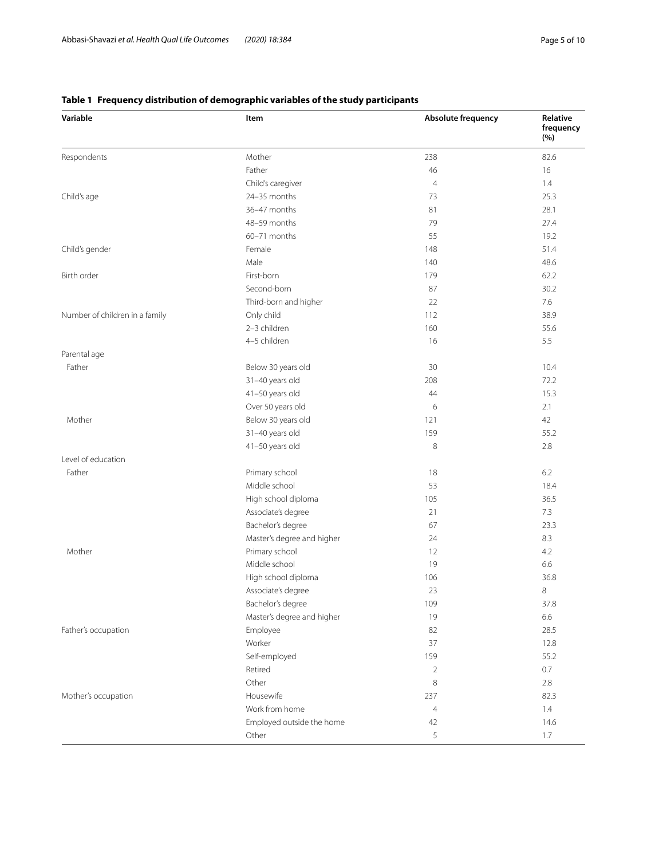| Variable                       | Item                       | Absolute frequency | Relative<br>frequency<br>(%) |
|--------------------------------|----------------------------|--------------------|------------------------------|
| Respondents                    | Mother                     | 238                | 82.6                         |
|                                | Father                     | 46                 | 16                           |
|                                | Child's caregiver          | $\overline{4}$     | 1.4                          |
| Child's age                    | 24-35 months               | 73                 | 25.3                         |
|                                | 36-47 months               | 81                 | 28.1                         |
|                                | 48-59 months               | 79                 | 27.4                         |
|                                | 60-71 months               | 55                 | 19.2                         |
| Child's gender                 | Female                     | 148                | 51.4                         |
|                                | Male                       | 140                | 48.6                         |
| Birth order                    | First-born                 | 179                | 62.2                         |
|                                | Second-born                | 87                 | 30.2                         |
|                                | Third-born and higher      | 22                 | 7.6                          |
| Number of children in a family | Only child                 | 112                | 38.9                         |
|                                | 2-3 children               | 160                | 55.6                         |
|                                | 4-5 children               | 16                 | 5.5                          |
| Parental age                   |                            |                    |                              |
| Father                         | Below 30 years old         | 30                 | 10.4                         |
|                                | 31-40 years old            | 208                | 72.2                         |
|                                | 41-50 years old            | 44                 | 15.3                         |
|                                | Over 50 years old          | 6                  | 2.1                          |
| Mother                         | Below 30 years old         | 121                | 42                           |
|                                | 31-40 years old            | 159                | 55.2                         |
|                                | 41-50 years old            | 8                  | 2.8                          |
| Level of education             |                            |                    |                              |
| Father                         | Primary school             | 18                 | 6.2                          |
|                                | Middle school              | 53                 | 18.4                         |
|                                | High school diploma        | 105                | 36.5                         |
|                                | Associate's degree         | 21                 | 7.3                          |
|                                | Bachelor's degree          | 67                 | 23.3                         |
|                                | Master's degree and higher | 24                 | 8.3                          |
| Mother                         | Primary school             | 12                 | 4.2                          |
|                                | Middle school              | 19                 | 6.6                          |
|                                | High school diploma        | 106                | 36.8                         |
|                                | Associate's degree         | 23                 | 8                            |
|                                | Bachelor's degree          | 109                | 37.8                         |
|                                | Master's degree and higher | 19                 | 6.6                          |
| Father's occupation            | Employee                   | 82                 | 28.5                         |
|                                | Worker                     | 37                 | 12.8                         |
|                                | Self-employed              | 159                | 55.2                         |
|                                | Retired                    | $\overline{2}$     | 0.7                          |
|                                | Other                      | 8                  | 2.8                          |
| Mother's occupation            | Housewife                  | 237                | 82.3                         |
|                                | Work from home             | 4                  | 1.4                          |
|                                | Employed outside the home  | 42                 | 14.6                         |
|                                | Other                      | 5                  | 1.7                          |
|                                |                            |                    |                              |

# <span id="page-4-0"></span>**Table 1 Frequency distribution of demographic variables of the study participants**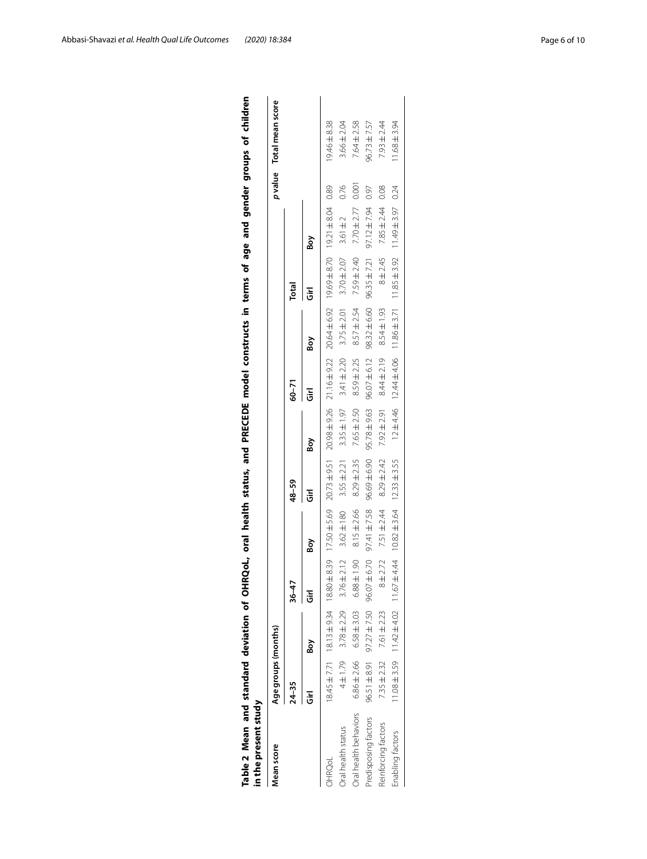<span id="page-5-0"></span>

| <b>Mean score</b>         | Age groups (months) |                                                                                      |                        |                 |                 |                                                                                                                                      |                  |                  |                                                                         |                  |       | p value Total mean score |
|---------------------------|---------------------|--------------------------------------------------------------------------------------|------------------------|-----------------|-----------------|--------------------------------------------------------------------------------------------------------------------------------------|------------------|------------------|-------------------------------------------------------------------------|------------------|-------|--------------------------|
|                           | $24 - 35$           |                                                                                      | $36 - 47$              |                 | $48 - 59$       |                                                                                                                                      | 60-71            |                  | Total                                                                   |                  |       |                          |
|                           |                     | Βoγ                                                                                  |                        | Βòγ             | Ğ               | Βoγ                                                                                                                                  | Ğ                | Βoγ              | Ğ                                                                       | Boy              |       |                          |
| JHRQoL                    |                     |                                                                                      |                        |                 |                 | 18.145±17.1 18.13±9.54 0.89±8.34 0.17.9.045.02 17.915 0.045.02 0.045.02 0.045.02 17.949.04 0.89 18.04 0.89 17.148.101 17.148.04 0.89 |                  |                  |                                                                         |                  |       | 19.46±8.38               |
| <b>Dral health status</b> | $4 + 1.79$          | $3.78 \pm 2.29$                                                                      | 2.12<br>$3.76 \pm 1$   | $3.62 \pm 180$  | $3.55 \pm 2.21$ | $3.35 \pm 1.97$                                                                                                                      | $3.41 \pm 2.20$  | $3.75 \pm 2.01$  | $3.70 \pm 2.07$                                                         | $3.61 \pm 2$     | 0.76  | $3.66 \pm 2.04$          |
| Oral health behaviors     | $6.86 \pm 2.66$     | $6.58 \pm 3.03$                                                                      | $0.88 \pm 1.90$        | $8.15 \pm 2.66$ | $8.29 \pm 2.35$ | $7.65 \pm 2.50$                                                                                                                      | $8.59 \pm 2.25$  | $8.57 \pm 2.54$  | $7.59 \pm 2.40$                                                         | $7.70 \pm 2.77$  | 0.001 | $7.64 \pm 2.58$          |
| Predisposing factors      |                     | 96.51 ± 8.91 97.27 ± 7.50                                                            | $-6.70$<br>96.07 ±     | 97.41 ±7.58     | 96.69±6.90      | 95.78 ± 9.63                                                                                                                         | $96.07 \pm 6.12$ | $98.32 \pm 6.60$ | $96.35 \pm 7.21$                                                        | $97.12 \pm 7.94$ | 0.97  | $96.73 \pm 7.57$         |
| Reinforcing factors       |                     | $7.35 \pm 2.32$ $7.61 \pm 2.23$                                                      | .2.72<br>$\frac{1}{8}$ | 7.51 ± 2.44     | $8.29 \pm 2.42$ | $7.92 \pm 2.91$                                                                                                                      | $8.44 \pm 2.19$  | $8.54 \pm 1.93$  | 8±2.45                                                                  | $7.85 \pm 2.44$  | 0.08  | $7.93 \pm 2.44$          |
| Enabling factors          |                     | $11.08 \pm 3.59$ $11.42 \pm 4.02$ $11.67 \pm 4.44$ $10.82 \pm 3.64$ $12.33 \pm 3.55$ |                        |                 |                 |                                                                                                                                      |                  |                  | $12\pm4.46$ $12.44\pm4.06$ $11.86\pm3.71$ $11.85\pm3.92$ $11.49\pm3.97$ |                  | 0.24  | $11.68 \pm 3.94$         |

| s of age and gender g |  |
|-----------------------|--|
|                       |  |
|                       |  |
|                       |  |
| in term               |  |
|                       |  |
|                       |  |
|                       |  |
|                       |  |
| and<br>a              |  |
| i<br>C                |  |
|                       |  |
|                       |  |
| ī<br>l                |  |
|                       |  |
| l                     |  |
|                       |  |
| ں<br>ب                |  |
| Ĕ                     |  |
|                       |  |
|                       |  |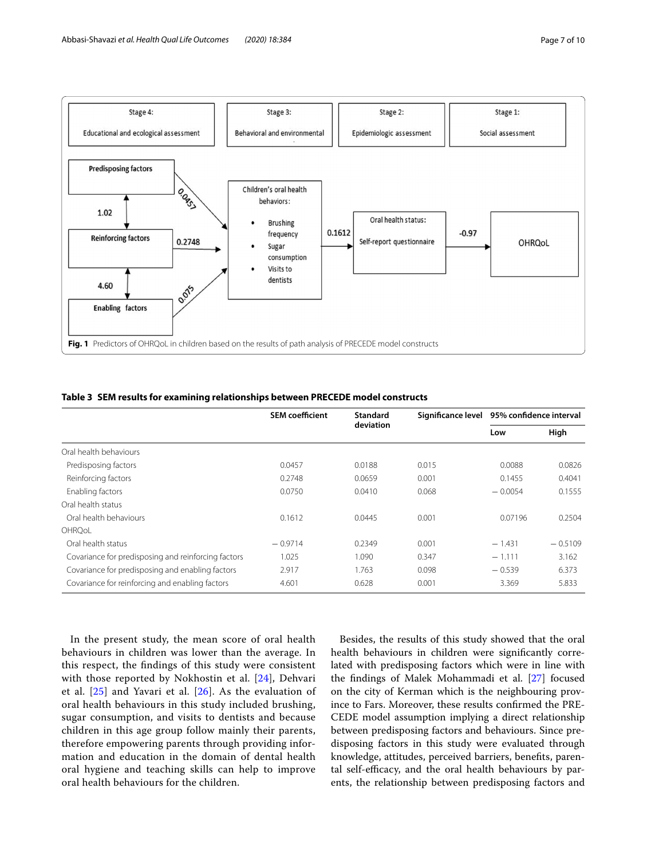

<span id="page-6-1"></span><span id="page-6-0"></span>

|  |  | Table 3 SEM results for examining relationships between PRECEDE model constructs |  |
|--|--|----------------------------------------------------------------------------------|--|
|  |  |                                                                                  |  |

|                                                     | <b>SEM coefficient</b> | Standard  | Significance level 95% confidence interval |           |           |
|-----------------------------------------------------|------------------------|-----------|--------------------------------------------|-----------|-----------|
|                                                     |                        | deviation |                                            | Low       | High      |
| Oral health behaviours                              |                        |           |                                            |           |           |
| Predisposing factors                                | 0.0457                 | 0.0188    | 0.015                                      | 0.0088    | 0.0826    |
| Reinforcing factors                                 | 0.2748                 | 0.0659    | 0.001                                      | 0.1455    | 0.4041    |
| Enabling factors                                    | 0.0750                 | 0.0410    | 0.068                                      | $-0.0054$ | 0.1555    |
| Oral health status                                  |                        |           |                                            |           |           |
| Oral health behaviours                              | 0.1612                 | 0.0445    | 0.001                                      | 0.07196   | 0.2504    |
| OHROoL                                              |                        |           |                                            |           |           |
| Oral health status                                  | $-0.9714$              | 0.2349    | 0.001                                      | $-1.431$  | $-0.5109$ |
| Covariance for predisposing and reinforcing factors | 1.025                  | 1.090     | 0.347                                      | $-1.111$  | 3.162     |
| Covariance for predisposing and enabling factors    | 2.917                  | 1.763     | 0.098                                      | $-0.539$  | 6.373     |
| Covariance for reinforcing and enabling factors     | 4.601                  | 0.628     | 0.001                                      | 3.369     | 5.833     |

In the present study, the mean score of oral health behaviours in children was lower than the average. In this respect, the fndings of this study were consistent with those reported by Nokhostin et al. [[24\]](#page-9-4), Dehvari et al. [[25\]](#page-9-2) and Yavari et al. [[26](#page-9-5)]. As the evaluation of oral health behaviours in this study included brushing, sugar consumption, and visits to dentists and because children in this age group follow mainly their parents, therefore empowering parents through providing information and education in the domain of dental health oral hygiene and teaching skills can help to improve oral health behaviours for the children.

Besides, the results of this study showed that the oral health behaviours in children were signifcantly correlated with predisposing factors which were in line with the fndings of Malek Mohammadi et al. [\[27](#page-9-6)] focused on the city of Kerman which is the neighbouring province to Fars. Moreover, these results confrmed the PRE-CEDE model assumption implying a direct relationship between predisposing factors and behaviours. Since predisposing factors in this study were evaluated through knowledge, attitudes, perceived barriers, benefts, parental self-efficacy, and the oral health behaviours by parents, the relationship between predisposing factors and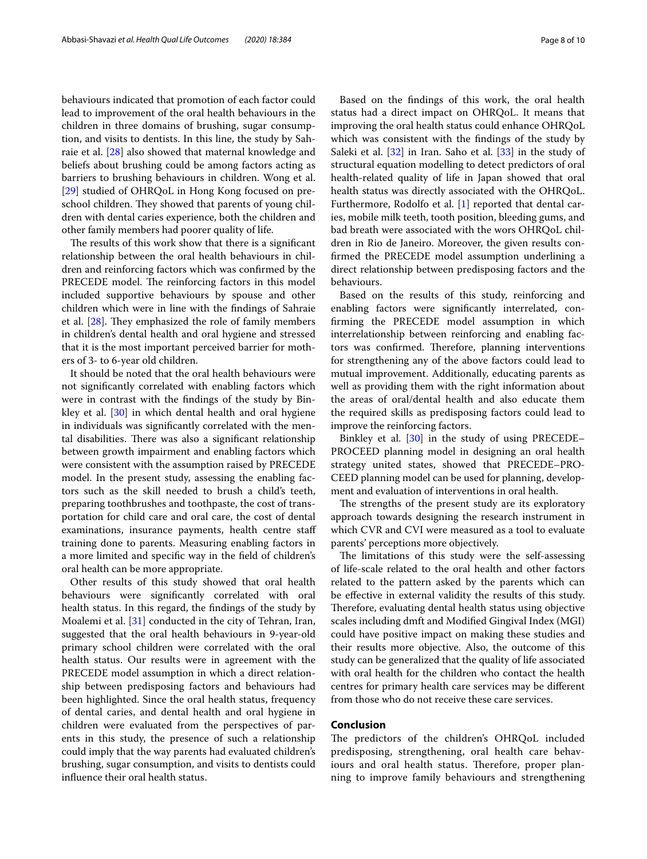behaviours indicated that promotion of each factor could lead to improvement of the oral health behaviours in the children in three domains of brushing, sugar consumption, and visits to dentists. In this line, the study by Sahraie et al. [[28\]](#page-9-7) also showed that maternal knowledge and beliefs about brushing could be among factors acting as barriers to brushing behaviours in children. Wong et al. [[29\]](#page-9-8) studied of OHRQoL in Hong Kong focused on preschool children. They showed that parents of young children with dental caries experience, both the children and other family members had poorer quality of life.

The results of this work show that there is a significant relationship between the oral health behaviours in children and reinforcing factors which was confrmed by the PRECEDE model. The reinforcing factors in this model included supportive behaviours by spouse and other children which were in line with the fndings of Sahraie et al.  $[28]$  $[28]$ . They emphasized the role of family members in children's dental health and oral hygiene and stressed that it is the most important perceived barrier for mothers of 3- to 6-year old children.

It should be noted that the oral health behaviours were not signifcantly correlated with enabling factors which were in contrast with the fndings of the study by Binkley et al. [[30\]](#page-9-9) in which dental health and oral hygiene in individuals was signifcantly correlated with the mental disabilities. There was also a significant relationship between growth impairment and enabling factors which were consistent with the assumption raised by PRECEDE model. In the present study, assessing the enabling factors such as the skill needed to brush a child's teeth, preparing toothbrushes and toothpaste, the cost of transportation for child care and oral care, the cost of dental examinations, insurance payments, health centre staf training done to parents. Measuring enabling factors in a more limited and specifc way in the feld of children's oral health can be more appropriate.

Other results of this study showed that oral health behaviours were signifcantly correlated with oral health status. In this regard, the fndings of the study by Moalemi et al. [\[31](#page-9-10)] conducted in the city of Tehran, Iran, suggested that the oral health behaviours in 9-year-old primary school children were correlated with the oral health status. Our results were in agreement with the PRECEDE model assumption in which a direct relationship between predisposing factors and behaviours had been highlighted. Since the oral health status, frequency of dental caries, and dental health and oral hygiene in children were evaluated from the perspectives of parents in this study, the presence of such a relationship could imply that the way parents had evaluated children's brushing, sugar consumption, and visits to dentists could infuence their oral health status.

Based on the fndings of this work, the oral health status had a direct impact on OHRQoL. It means that improving the oral health status could enhance OHRQoL which was consistent with the fndings of the study by Saleki et al. [\[32](#page-9-11)] in Iran. Saho et al. [[33](#page-9-12)] in the study of structural equation modelling to detect predictors of oral health-related quality of life in Japan showed that oral health status was directly associated with the OHRQoL. Furthermore, Rodolfo et al. [[1](#page-8-0)] reported that dental caries, mobile milk teeth, tooth position, bleeding gums, and bad breath were associated with the wors OHRQoL children in Rio de Janeiro. Moreover, the given results confrmed the PRECEDE model assumption underlining a direct relationship between predisposing factors and the behaviours.

Based on the results of this study, reinforcing and enabling factors were signifcantly interrelated, confrming the PRECEDE model assumption in which interrelationship between reinforcing and enabling factors was confirmed. Therefore, planning interventions for strengthening any of the above factors could lead to mutual improvement. Additionally, educating parents as well as providing them with the right information about the areas of oral/dental health and also educate them the required skills as predisposing factors could lead to improve the reinforcing factors.

Binkley et al. [[30\]](#page-9-9) in the study of using PRECEDE– PROCEED planning model in designing an oral health strategy united states, showed that PRECEDE–PRO-CEED planning model can be used for planning, development and evaluation of interventions in oral health.

The strengths of the present study are its exploratory approach towards designing the research instrument in which CVR and CVI were measured as a tool to evaluate parents' perceptions more objectively.

The limitations of this study were the self-assessing of life-scale related to the oral health and other factors related to the pattern asked by the parents which can be efective in external validity the results of this study. Therefore, evaluating dental health status using objective scales including dmft and Modifed Gingival Index (MGI) could have positive impact on making these studies and their results more objective. Also, the outcome of this study can be generalized that the quality of life associated with oral health for the children who contact the health centres for primary health care services may be diferent from those who do not receive these care services.

# **Conclusion**

The predictors of the children's OHRQoL included predisposing, strengthening, oral health care behaviours and oral health status. Therefore, proper planning to improve family behaviours and strengthening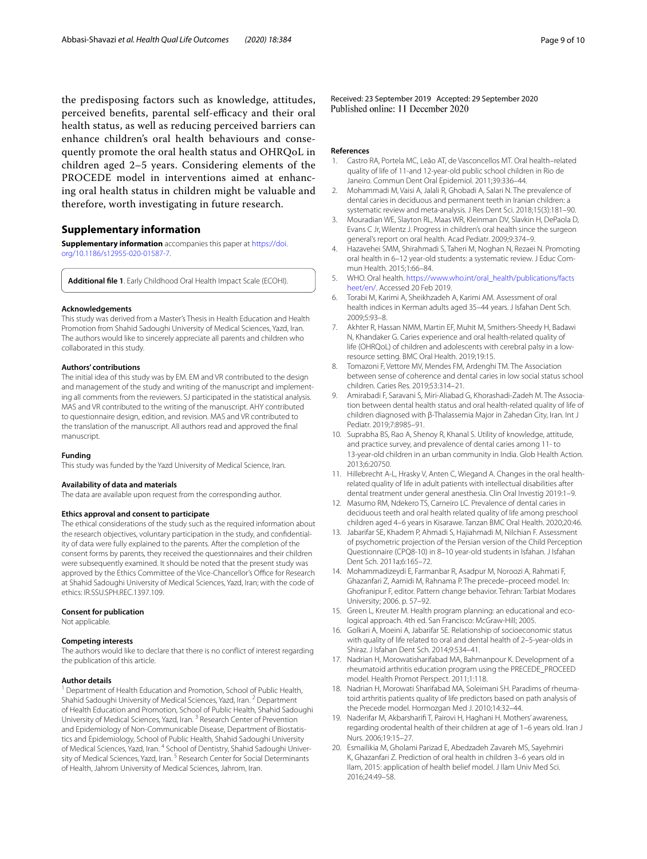the predisposing factors such as knowledge, attitudes, perceived benefits, parental self-efficacy and their oral health status, as well as reducing perceived barriers can enhance children's oral health behaviours and consequently promote the oral health status and OHRQoL in children aged 2–5 years. Considering elements of the PROCEDE model in interventions aimed at enhancing oral health status in children might be valuable and therefore, worth investigating in future research.

# **Supplementary information**

**Supplementary information** accompanies this paper at [https://doi.](https://doi.org/10.1186/s12955-020-01587-7) [org/10.1186/s12955-020-01587-7](https://doi.org/10.1186/s12955-020-01587-7).

<span id="page-8-19"></span>**Additional fle 1**. Early Childhood Oral Health Impact Scale (ECOHI).

#### **Acknowledgements**

This study was derived from a Master's Thesis in Health Education and Health Promotion from Shahid Sadoughi University of Medical Sciences, Yazd, Iran. The authors would like to sincerely appreciate all parents and children who collaborated in this study.

#### **Authors' contributions**

The initial idea of this study was by EM. EM and VR contributed to the design and management of the study and writing of the manuscript and implementing all comments from the reviewers. SJ participated in the statistical analysis. MAS and VR contributed to the writing of the manuscript. AHY contributed to questionnaire design, edition, and revision. MAS and VR contributed to the translation of the manuscript. All authors read and approved the fnal manuscript.

#### **Funding**

This study was funded by the Yazd University of Medical Science, Iran.

#### **Availability of data and materials**

The data are available upon request from the corresponding author.

#### **Ethics approval and consent to participate**

The ethical considerations of the study such as the required information about the research objectives, voluntary participation in the study, and confidentiality of data were fully explained to the parents. After the completion of the consent forms by parents, they received the questionnaires and their children were subsequently examined. It should be noted that the present study was approved by the Ethics Committee of the Vice-Chancellor's Office for Research at Shahid Sadoughi University of Medical Sciences, Yazd, Iran; with the code of ethics: IR.SSU.SPH.REC.1397.109.

#### **Consent for publication**

Not applicable.

#### **Competing interests**

The authors would like to declare that there is no confict of interest regarding the publication of this article.

#### **Author details**

<sup>1</sup> Department of Health Education and Promotion, School of Public Health, Shahid Sadoughi University of Medical Sciences, Yazd, Iran. <sup>2</sup> Department of Health Education and Promotion, School of Public Health, Shahid Sadoughi University of Medical Sciences, Yazd, Iran. 3 Research Center of Prevention and Epidemiology of Non-Communicable Disease, Department of Biostatistics and Epidemiology, School of Public Health, Shahid Sadoughi University of Medical Sciences, Yazd, Iran. <sup>4</sup> School of Dentistry, Shahid Sadoughi University of Medical Sciences, Yazd, Iran.<sup>5</sup> Research Center for Social Determinants of Health, Jahrom University of Medical Sciences, Jahrom, Iran.

Received: 23 September 2019 Accepted: 29 September 2020<br>Published online: 11 December 2020

#### **References**

- <span id="page-8-0"></span>1. Castro RA, Portela MC, Leão AT, de Vasconcellos MT. Oral health–related quality of life of 11-and 12-year-old public school children in Rio de Janeiro. Commun Dent Oral Epidemiol. 2011;39:336–44.
- <span id="page-8-1"></span>2. Mohammadi M, Vaisi A, Jalali R, Ghobadi A, Salari N. The prevalence of dental caries in deciduous and permanent teeth in Iranian children: a systematic review and meta-analysis. J Res Dent Sci. 2018;15(3):181–90.
- <span id="page-8-2"></span>3. Mouradian WE, Slayton RL, Maas WR, Kleinman DV, Slavkin H, DePaola D, Evans C Jr, Wilentz J. Progress in children's oral health since the surgeon general's report on oral health. Acad Pediatr. 2009;9:374–9.
- <span id="page-8-3"></span>4. Hazavehei SMM, Shirahmadi S, Taheri M, Noghan N, Rezaei N. Promoting oral health in 6-12 year-old students: a systematic review. J Educ Commun Health. 2015;1:66–84.
- <span id="page-8-4"></span>5. WHO. Oral health. [https://www.who.int/oral\\_health/publications/facts](http://www.who.int/oral_health/publications/factsheet/en/) [heet/en/](http://www.who.int/oral_health/publications/factsheet/en/). Accessed 20 Feb 2019.
- <span id="page-8-5"></span>6. Torabi M, Karimi A, Sheikhzadeh A, Karimi AM. Assessment of oral health indices in Kerman adults aged 35–44 years. J Isfahan Dent Sch. 2009;5:93–8.
- <span id="page-8-6"></span>7. Akhter R, Hassan NMM, Martin EF, Muhit M, Smithers-Sheedy H, Badawi N, Khandaker G. Caries experience and oral health-related quality of life (OHRQoL) of children and adolescents with cerebral palsy in a lowresource setting. BMC Oral Health. 2019;19:15.
- <span id="page-8-7"></span>8. Tomazoni F, Vettore MV, Mendes FM, Ardenghi TM. The Association between sense of coherence and dental caries in low social status school children. Caries Res. 2019;53:314–21.
- <span id="page-8-8"></span>Amirabadi F, Saravani S, Miri-Aliabad G, Khorashadi-Zadeh M. The Association between dental health status and oral health-related quality of life of children diagnosed with β-Thalassemia Major in Zahedan City, Iran. Int J Pediatr. 2019;7:8985–91.
- <span id="page-8-9"></span>10. Suprabha BS, Rao A, Shenoy R, Khanal S. Utility of knowledge, attitude, and practice survey, and prevalence of dental caries among 11- to 13-year-old children in an urban community in India. Glob Health Action. 2013;6:20750.
- <span id="page-8-10"></span>11. Hillebrecht A-L, Hrasky V, Anten C, Wiegand A. Changes in the oral healthrelated quality of life in adult patients with intellectual disabilities after dental treatment under general anesthesia. Clin Oral Investig 2019:1–9.
- <span id="page-8-11"></span>12. Masumo RM, Ndekero TS, Carneiro LC. Prevalence of dental caries in deciduous teeth and oral health related quality of life among preschool children aged 4–6 years in Kisarawe. Tanzan BMC Oral Health. 2020;20:46.
- <span id="page-8-12"></span>13. Jabarifar SE, Khadem P, Ahmadi S, Hajiahmadi M, Nilchian F. Assessment of psychometric projection of the Persian version of the Child Perception Questionnaire (CPQ8-10) in 8–10 year-old students in Isfahan. J Isfahan Dent Sch. 2011a;6:165–72.
- <span id="page-8-13"></span>14. Mohammadizeydi E, Farmanbar R, Asadpur M, Noroozi A, Rahmati F, Ghazanfari Z, Aamidi M, Rahnama P. The precede–proceed model. In: Ghofranipur F, editor. Pattern change behavior. Tehran: Tarbiat Modares University; 2006. p. 57–92.
- <span id="page-8-14"></span>15. Green L, Kreuter M. Health program planning: an educational and ecological approach. 4th ed. San Francisco: McGraw-Hill; 2005.
- <span id="page-8-15"></span>16. Golkari A, Moeini A, Jabarifar SE. Relationship of socioeconomic status with quality of life related to oral and dental health of 2–5-year-olds in Shiraz. J Isfahan Dent Sch. 2014;9:534–41.
- 17. Nadrian H, Morowatisharifabad MA, Bahmanpour K. Development of a rheumatoid arthritis education program using the PRECEDE\_PROCEED model. Health Promot Perspect. 2011;1:118.
- <span id="page-8-16"></span>18. Nadrian H, Morowati Sharifabad MA, Soleimani SH. Paradims of rheumatoid arthritis patients quality of life predictors based on path analysis of the Precede model. Hormozgan Med J. 2010;14:32–44.
- <span id="page-8-17"></span>19. Naderifar M, Akbarsharif T, Pairovi H, Haghani H. Mothers' awareness, regarding orodental health of their children at age of 1–6 years old. Iran J Nurs. 2006;19:15–27.
- <span id="page-8-18"></span>20. Esmailikia M, Gholami Parizad E, Abedzadeh Zavareh MS, Sayehmiri K, Ghazanfari Z. Prediction of oral health in children 3–6 years old in Ilam, 2015: application of health belief model. J Ilam Univ Med Sci. 2016;24:49–58.